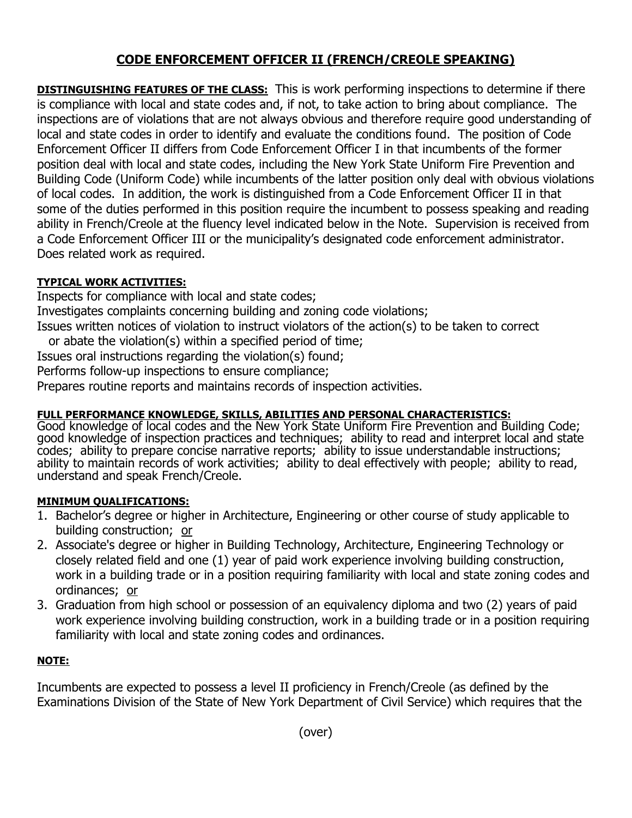# **CODE ENFORCEMENT OFFICER II (FRENCH/CREOLE SPEAKING)**

**DISTINGUISHING FEATURES OF THE CLASS:** This is work performing inspections to determine if there is compliance with local and state codes and, if not, to take action to bring about compliance. The inspections are of violations that are not always obvious and therefore require good understanding of local and state codes in order to identify and evaluate the conditions found. The position of Code Enforcement Officer II differs from Code Enforcement Officer I in that incumbents of the former position deal with local and state codes, including the New York State Uniform Fire Prevention and Building Code (Uniform Code) while incumbents of the latter position only deal with obvious violations of local codes. In addition, the work is distinguished from a Code Enforcement Officer II in that some of the duties performed in this position require the incumbent to possess speaking and reading ability in French/Creole at the fluency level indicated below in the Note. Supervision is received from a Code Enforcement Officer III or the municipality's designated code enforcement administrator. Does related work as required.

### **TYPICAL WORK ACTIVITIES:**

Inspects for compliance with local and state codes;

Investigates complaints concerning building and zoning code violations;

Issues written notices of violation to instruct violators of the action(s) to be taken to correct or abate the violation(s) within a specified period of time;

Issues oral instructions regarding the violation(s) found;

Performs follow-up inspections to ensure compliance;

Prepares routine reports and maintains records of inspection activities.

## **FULL PERFORMANCE KNOWLEDGE, SKILLS, ABILITIES AND PERSONAL CHARACTERISTICS:**

Good knowledge of local codes and the New York State Uniform Fire Prevention and Building Code; good knowledge of inspection practices and techniques; ability to read and interpret local and state codes; ability to prepare concise narrative reports; ability to issue understandable instructions; ability to maintain records of work activities; ability to deal effectively with people; ability to read, understand and speak French/Creole.

#### **MINIMUM QUALIFICATIONS:**

- 1. Bachelor's degree or higher in Architecture, Engineering or other course of study applicable to building construction; or
- 2. Associate's degree or higher in Building Technology, Architecture, Engineering Technology or closely related field and one (1) year of paid work experience involving building construction, work in a building trade or in a position requiring familiarity with local and state zoning codes and ordinances; or
- 3. Graduation from high school or possession of an equivalency diploma and two (2) years of paid work experience involving building construction, work in a building trade or in a position requiring familiarity with local and state zoning codes and ordinances.

## **NOTE:**

Incumbents are expected to possess a level II proficiency in French/Creole (as defined by the Examinations Division of the State of New York Department of Civil Service) which requires that the